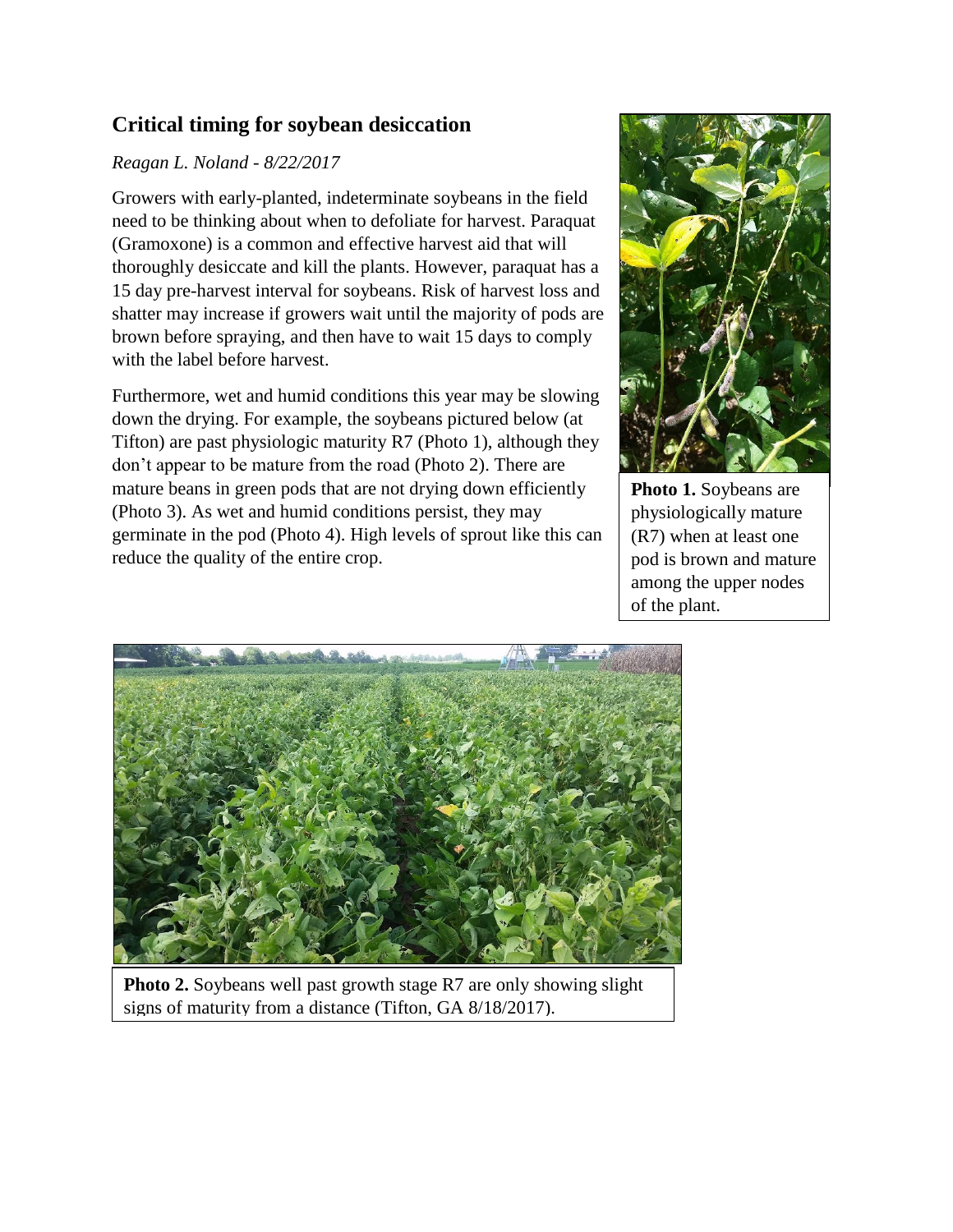## **Critical timing for soybean desiccation**

## *Reagan L. Noland - 8/22/2017*

Growers with early-planted, indeterminate soybeans in the field need to be thinking about when to defoliate for harvest. Paraquat (Gramoxone) is a common and effective harvest aid that will thoroughly desiccate and kill the plants. However, paraquat has a 15 day pre-harvest interval for soybeans. Risk of harvest loss and shatter may increase if growers wait until the majority of pods are brown before spraying, and then have to wait 15 days to comply with the label before harvest.

Furthermore, wet and humid conditions this year may be slowing down the drying. For example, the soybeans pictured below (at Tifton) are past physiologic maturity R7 (Photo 1), although they don't appear to be mature from the road (Photo 2). There are mature beans in green pods that are not drying down efficiently (Photo 3). As wet and humid conditions persist, they may germinate in the pod (Photo 4). High levels of sprout like this can reduce the quality of the entire crop.



**Photo 1.** Soybeans are physiologically mature (R7) when at least one pod is brown and mature among the upper nodes of the plant.



**Photo 2.** Soybeans well past growth stage R7 are only showing slight signs of maturity from a distance (Tifton, GA 8/18/2017).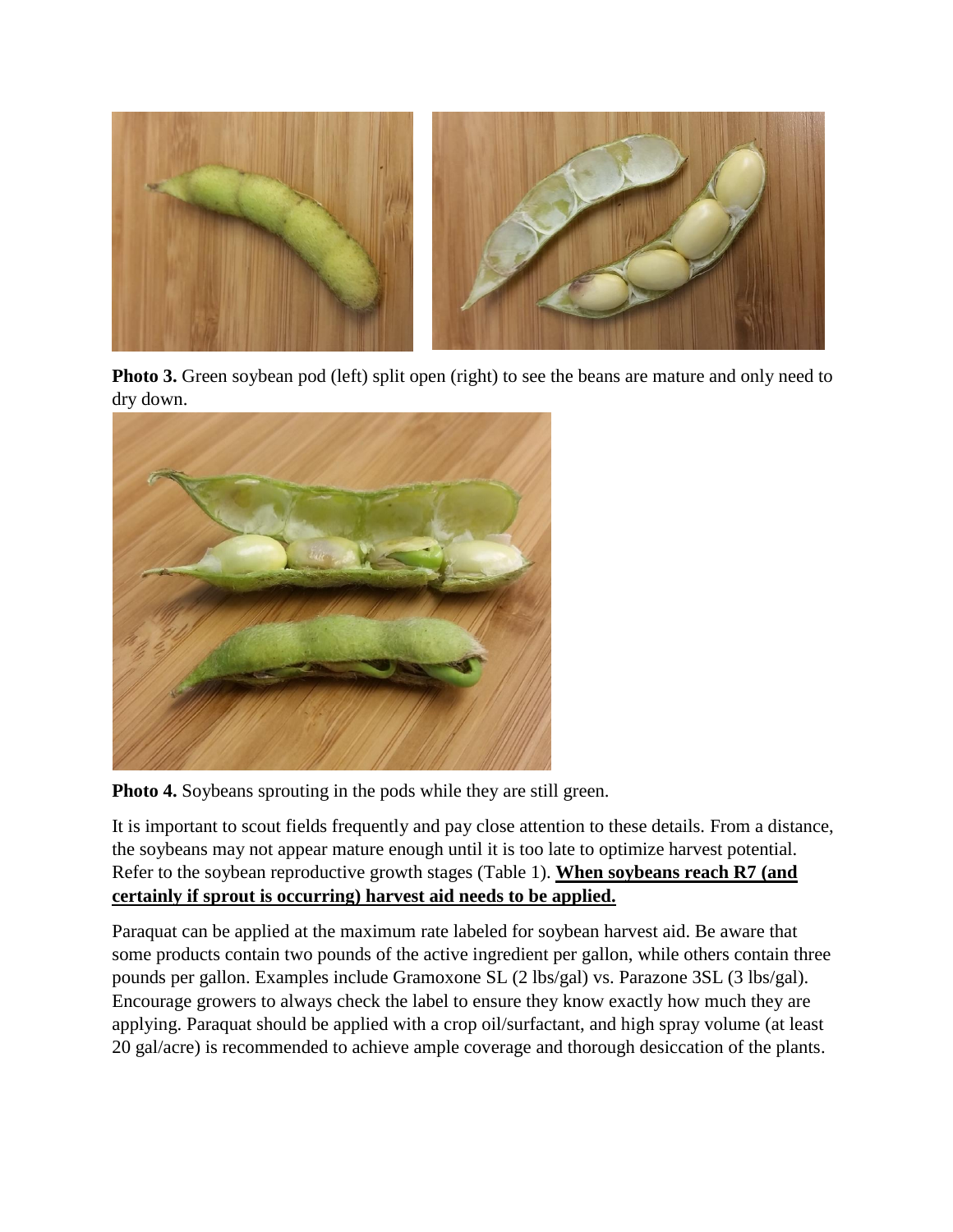

**Photo 3.** Green soybean pod (left) split open (right) to see the beans are mature and only need to dry down.



**Photo 4.** Soybeans sprouting in the pods while they are still green.

It is important to scout fields frequently and pay close attention to these details. From a distance, the soybeans may not appear mature enough until it is too late to optimize harvest potential. Refer to the soybean reproductive growth stages (Table 1). **When soybeans reach R7 (and certainly if sprout is occurring) harvest aid needs to be applied.** 

Paraquat can be applied at the maximum rate labeled for soybean harvest aid. Be aware that some products contain two pounds of the active ingredient per gallon, while others contain three pounds per gallon. Examples include Gramoxone SL (2 lbs/gal) vs. Parazone 3SL (3 lbs/gal). Encourage growers to always check the label to ensure they know exactly how much they are applying. Paraquat should be applied with a crop oil/surfactant, and high spray volume (at least 20 gal/acre) is recommended to achieve ample coverage and thorough desiccation of the plants.